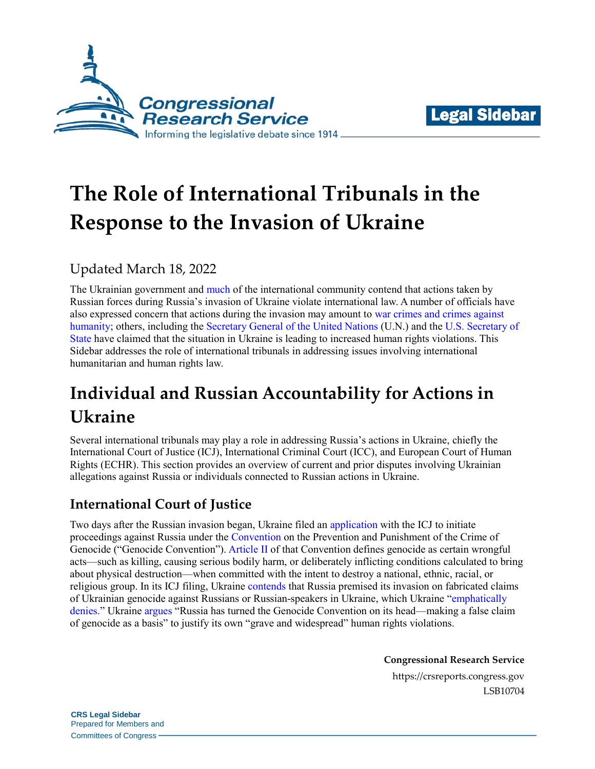



# **The Role of International Tribunals in the Response to the Invasion of Ukraine**

## Updated March 18, 2022

The Ukrainian government and [much](http://opiniojuris.org/2022/03/04/tracking-state-reactions-to-russias-invasion-of-ukraine-a-resource-for-research/) of the international community contend that actions taken by Russian forces during Russia's invasion of Ukraine violate international law. A number of officials have also expressed concern that actions during the invasion may amount to [war crimes and crimes against](https://www.cbc.ca/news/politics/icc-joly-russia-war-crimes-1.6368272)  [humanity;](https://www.cbc.ca/news/politics/icc-joly-russia-war-crimes-1.6368272) others, including the [Secretary General of the United Nations](https://news.un.org/en/story/2022/02/1112962) (U.N.) and the [U.S. Secretary of](https://www.cnbc.com/2022/03/01/ukraine-blinken-warns-of-mounting-russian-human-rights-abuses.html)  [State](https://www.cnbc.com/2022/03/01/ukraine-blinken-warns-of-mounting-russian-human-rights-abuses.html) have claimed that the situation in Ukraine is leading to increased human rights violations. This Sidebar addresses the role of international tribunals in addressing issues involving international humanitarian and human rights law.

# **Individual and Russian Accountability for Actions in Ukraine**

Several international tribunals may play a role in addressing Russia's actions in Ukraine, chiefly the International Court of Justice (ICJ), International Criminal Court (ICC), and European Court of Human Rights (ECHR). This section provides an overview of current and prior disputes involving Ukrainian allegations against Russia or individuals connected to Russian actions in Ukraine.

### **International Court of Justice**

Two days after the Russian invasion began, Ukraine filed an [application](https://www.icj-cij.org/en/case/182) with the ICJ to initiate proceedings against Russia under the [Convention](https://treaties.un.org/doc/Treaties/1951/01/19510112%2008-12%20PM/Ch_IV_1p.pdf) on the Prevention and Punishment of the Crime of Genocide ("Genocide Convention"). [Article II](https://treaties.un.org/doc/Treaties/1951/01/19510112%2008-12%20PM/Ch_IV_1p.pdf#page=11) of that Convention defines genocide as certain wrongful acts—such as killing, causing serious bodily harm, or deliberately inflicting conditions calculated to bring about physical destruction—when committed with the intent to destroy a national, ethnic, racial, or religious group. In its ICJ filing, Ukraine [contends](https://www.icj-cij.org/public/files/case-related/182/182-20220227-APP-01-00-EN.pdf#page=2) that Russia premised its invasion on fabricated claims of Ukrainian genocide against Russians or Russian-speakers in Ukraine, which Ukraine ["emphatically](https://www.icj-cij.org/public/files/case-related/182/182-20220227-APP-01-00-EN.pdf#page=2)  [denies.](https://www.icj-cij.org/public/files/case-related/182/182-20220227-APP-01-00-EN.pdf#page=2)" Ukrain[e argues](https://www.icj-cij.org/public/files/case-related/182/182-20220227-APP-01-00-EN.pdf#page=8) "Russia has turned the Genocide Convention on its head—making a false claim of genocide as a basis" to justify its own "grave and widespread" human rights violations.

**Congressional Research Service**

https://crsreports.congress.gov LSB10704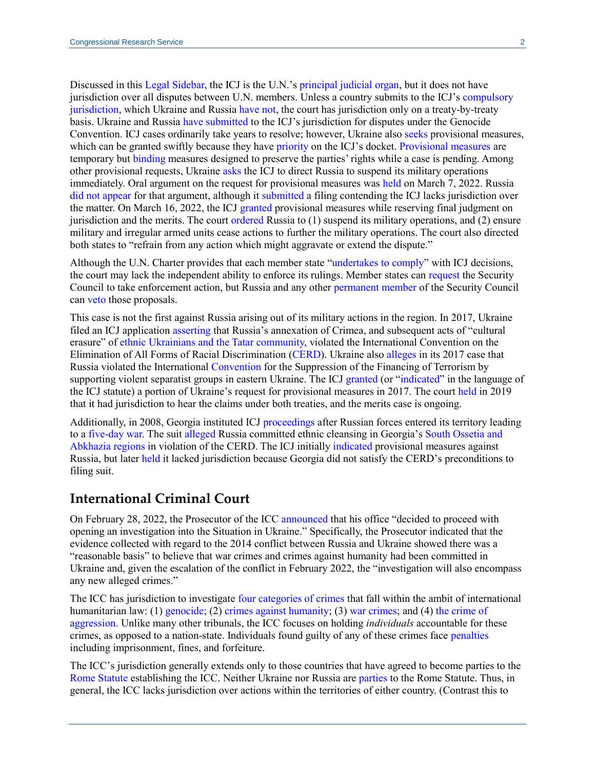Discussed in this [Legal Sidebar,](https://crsreports.congress.gov/product/pdf/LSB/LSB10206) the ICJ is the U.N.'s [principal judicial organ,](http://legal.un.org/repertory/art92.shtml) but it does not have jurisdiction over all disputes between U.N. members. Unless a country submits to the ICJ's [compulsory](https://legal.un.org/avl/pdf/ha/sicj/icj_statute_e.pdf#page=6)  [jurisdiction,](https://legal.un.org/avl/pdf/ha/sicj/icj_statute_e.pdf#page=6) which Ukraine and Russia [have not,](https://www.icj-cij.org/en/declarations) the court has jurisdiction only on a treaty-by-treaty basis. Ukraine and Russia [have submitted](https://treaties.un.org/pages/ViewDetails.aspx?src=IND&mtdsg_no=IV-1&chapter=4) to the ICJ's jurisdiction for disputes under the Genocide Convention. ICJ cases ordinarily take years to resolve; however, Ukraine also [seeks](https://www.icj-cij.org/public/files/case-related/182/182-20220227-WRI-01-00-EN.pdf) provisional measures, which can be granted swiftly because they have [priority](https://www.icj-cij.org/en/rules) on the ICJ's docket. [Provisional measures](https://legal.un.org/avl/pdf/ha/sicj/icj_statute_e.pdf#page=7) are temporary but [binding](https://www.icj-cij.org/public/files/case-related/104/104-20010627-JUD-01-00-EN.pdf#page=41) measures designed to preserve the parties' rights while a case is pending. Among other provisional requests, Ukraine [asks](https://www.icj-cij.org/public/files/case-related/182/182-20220227-WRI-01-00-EN.pdf#page=7) the ICJ to direct Russia to suspend its military operations immediately. Oral argument on the request for provisional measures was [held](https://media.un.org/en/asset/k1s/k1s308hjlg) on March 7, 2022. Russia [did not appear](https://t.co/KMipERg29N) for that argument, although it [submitted](https://www.icj-cij.org/public/files/case-related/182/182-20220307-OTH-01-00-EN.pdf) a filing contending the ICJ lacks jurisdiction over the matter. On March 16, 2022, the ICJ [granted](https://www.icj-cij.org/public/files/case-related/182/182-20220316-ORD-01-00-EN.pdf#page=19) provisional measures while reserving final judgment on jurisdiction and the merits. The cour[t ordered](https://www.icj-cij.org/public/files/case-related/182/182-20220316-ORD-01-00-EN.pdf#page=21) Russia to (1) suspend its military operations, and (2) ensure military and irregular armed units cease actions to further the military operations. The court also directed both states to "refrain from any action which might aggravate or extend the dispute."

Although the U.N. Charter provides that each member state ["undertakes to comply"](https://legal.un.org/repertory/art94.shtml) with ICJ decisions, the court may lack the independent ability to enforce its rulings. Member states can [request](https://legal.un.org/repertory/art94.shtml) the Security Council to take enforcement action, but Russia and any other [permanent member](https://www.un.org/securitycouncil/content/current-members) of the Security Council can [veto](https://legal.un.org/repertory/art27.shtml) those proposals.

This case is not the first against Russia arising out of its military actions in the region. In 2017, Ukraine filed an ICJ applicatio[n asserting](https://www.icj-cij.org/public/files/case-related/166/166-20170116-APP-01-00-EN.pdf#page=9) that Russia's annexation of Crimea, and subsequent acts of "cultural erasure" of ethnic Ukrainians [and the Tatar community,](https://www.state.gov/wp-content/uploads/2017/03/Ukraine-Crimea.pdf#page=81) violated the International Convention on the Elimination of All Forms of Racial Discrimination [\(CERD\)](https://treaties.un.org/doc/Treaties/1969/03/19690312%2008-49%20AM/Ch_IV_2p.pdf). Ukraine also [alleges](https://www.icj-cij.org/public/files/case-related/166/166-20170116-APP-01-00-EN.pdf#page=8) in its 2017 case that Russia violated the International [Convention](https://treaties.un.org/doc/Treaties/1999/12/19991209%2009-59%20AM/Ch_XVIII_11p.pdf) for the Suppression of the Financing of Terrorism by supporting violent separatist groups in eastern Ukraine. The ICJ [granted](https://www.icj-cij.org/public/files/case-related/166/166-20170419-ORD-01-00-EN.pdf#page=40) (or ["indicated"](https://legal.un.org/avl/pdf/ha/sicj/icj_statute_e.pdf#page=7) in the language of the ICJ statute) a portion of Ukraine's request for provisional measures in 2017. The court [held](https://www.icj-cij.org/public/files/case-related/166/166-20191108-JUD-01-00-EN.pdf#page=52) in 2019 that it had jurisdiction to hear the claims under both treaties, and the merits case is ongoing.

Additionally, in 2008, Georgia instituted ICJ [proceedings](https://www.icj-cij.org/en/case/140) after Russian forces entered its territory leading to a [five-day war.](https://crsreports.congress.gov/product/pdf/R/R45307#_Toc74232148) The suit [alleged](https://www.icj-cij.org/public/files/case-related/140/14657.pdf#page=4) Russia committed ethnic cleansing in Georgia's [South Ossetia and](https://crsreports.congress.gov/product/pdf/R/R45307#_Toc74232136)  [Abkhazia regions](https://crsreports.congress.gov/product/pdf/R/R45307#_Toc74232136) in violation of the CERD. The ICJ initially [indicated](https://www.icj-cij.org/public/files/case-related/140/140-20081015-ORD-01-00-EN.pdf#page=49) provisional measures against Russia, but later [held](https://www.icj-cij.org/public/files/case-related/140/140-20110401-JUD-01-00-EN.pdf#page=74) it lacked jurisdiction because Georgia did not satisfy the CERD's preconditions to filing suit.

#### **International Criminal Court**

On February 28, 2022, the Prosecutor of the ICC [announced](https://www.icc-cpi.int/Pages/item.aspx?name=20220228-prosecutor-statement-ukraine) that his office "decided to proceed with opening an investigation into the Situation in Ukraine." Specifically, the Prosecutor indicated that the evidence collected with regard to the 2014 conflict between Russia and Ukraine showed there was a "reasonable basis" to believe that war crimes and crimes against humanity had been committed in Ukraine and, given the escalation of the conflict in February 2022, the "investigation will also encompass any new alleged crimes."

The ICC has jurisdiction to investigate [four categories of crimes](https://www.icc-cpi.int/resource-library/documents/rs-eng.pdf#page=10) that fall within the ambit of international humanitarian law: (1) [genocide;](https://www.icc-cpi.int/resource-library/documents/rs-eng.pdf#page=10) (2) [crimes against humanity;](https://www.icc-cpi.int/resource-library/documents/rs-eng.pdf#page=10) (3) [war crimes;](https://www.icc-cpi.int/resource-library/documents/rs-eng.pdf#page=11) and (4) the crime of [aggression.](https://www.icc-cpi.int/resource-library/documents/rs-eng.pdf#page=14) Unlike many other tribunals, the ICC focuses on holding *individuals* accountable for these crimes, as opposed to a nation-state. Individuals found guilty of any of these crimes face [penalties](https://www.icc-cpi.int/resource-library/documents/rs-eng.pdf#page=65) including imprisonment, fines, and forfeiture.

The ICC's jurisdiction generally extends only to those countries that have agreed to become parties to the [Rome Statute](https://www.icc-cpi.int/resource-library/documents/rs-eng.pdf) establishing the ICC. Neither Ukraine nor Russia are [parties](https://asp.icc-cpi.int/en_menus/asp/states%20parties/pages/the%20states%20parties%20to%20the%20rome%20statute.aspx) to the Rome Statute. Thus, in general, the ICC lacks jurisdiction over actions within the territories of either country. (Contrast this to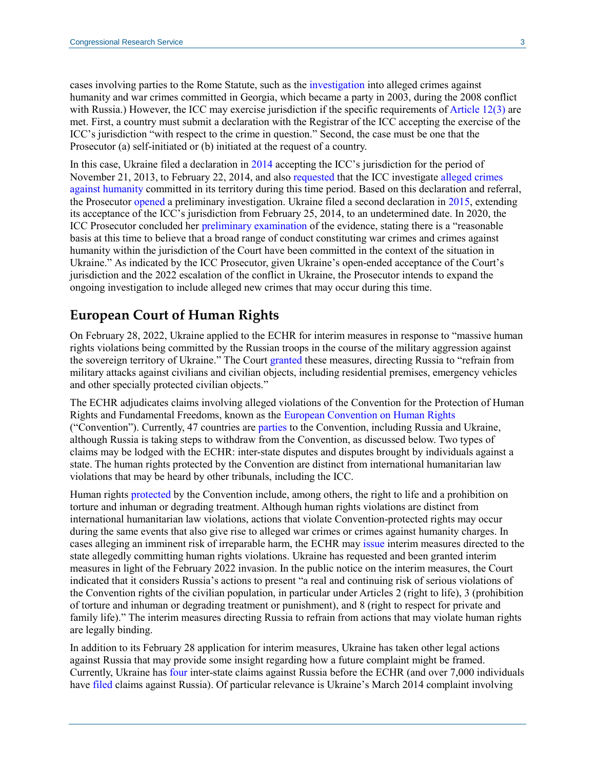cases involving parties to the Rome Statute, such as the [investigation](https://www.icc-cpi.int/georgia) into alleged crimes against humanity and war crimes committed in Georgia, which became a party in 2003, during the 2008 conflict with Russia.) However, the ICC may exercise jurisdiction if the specific requirements of [Article 12\(3\)](https://www.icc-cpi.int/resource-library/documents/rs-eng.pdf#page=15) are met. First, a country must submit a declaration with the Registrar of the ICC accepting the exercise of the ICC's jurisdiction "with respect to the crime in question." Second, the case must be one that the Prosecutor (a) self-initiated or (b) initiated at the request of a country.

In this case, Ukraine filed a declaration in [2014](https://www.icc-cpi.int/itemsDocuments/997/declarationRecognitionJuristiction09-04-2014.pdf) accepting the ICC's jurisdiction for the period of November 21, 2013, to February 22, 2014, and also [requested](https://www.icc-cpi.int/itemsDocuments/997/UkraineMFAdocument16-04-2014.pdf) that the ICC investigate [alleged crimes](https://www.icc-cpi.int/itemsDocuments/997/declarationVerkhovnaRadaEng.pdf)  [against humanity](https://www.icc-cpi.int/itemsDocuments/997/declarationVerkhovnaRadaEng.pdf) committed in its territory during this time period. Based on this declaration and referral, the Prosecutor [opened](https://www.icc-cpi.int/Pages/item.aspx?name=pr999) a preliminary investigation. Ukraine filed a second declaration in [2015,](https://www.icc-cpi.int/iccdocs/other/Ukraine_Art_12-3_declaration_08092015.pdf#search=ukraine) extending its acceptance of the ICC's jurisdiction from February 25, 2014, to an undetermined date. In 2020, the ICC Prosecutor concluded her [preliminary examination](https://www.icc-cpi.int/Pages/item.aspx?name=201211-otp-statement-ukraine) of the evidence, stating there is a "reasonable basis at this time to believe that a broad range of conduct constituting war crimes and crimes against humanity within the jurisdiction of the Court have been committed in the context of the situation in Ukraine." As indicated by the ICC Prosecutor, given Ukraine's open-ended acceptance of the Court's jurisdiction and the 2022 escalation of the conflict in Ukraine, the Prosecutor intends to expand the ongoing investigation to include alleged new crimes that may occur during this time.

#### **European Court of Human Rights**

On February 28, 2022, Ukraine applied to the ECHR for interim measures in response to "massive human rights violations being committed by the Russian troops in the course of the military aggression against the sovereign territory of Ukraine." The Court [granted](https://eulawlive.com/ecthr-grants-ukraine-interim-relief-indicates-russia-to-cease-military-operations/) these measures, directing Russia to "refrain from military attacks against civilians and civilian objects, including residential premises, emergency vehicles and other specially protected civilian objects."

The ECHR adjudicates claims involving alleged violations of the Convention for the Protection of Human Rights and Fundamental Freedoms, known as the [European Convention on Human Rights](https://www.echr.coe.int/documents/convention_eng.pdf) ("Convention"). Currently, 47 countries are [parties](https://www.coe.int/en/web/conventions/full-list?module=signatures-by-treaty&treatynum=005) to the Convention, including Russia and Ukraine, although Russia is taking steps to withdraw from the Convention, as discussed below. Two types of claims may be lodged with the ECHR: inter-state disputes and disputes brought by individuals against a state. The human rights protected by the Convention are distinct from international humanitarian law violations that may be heard by other tribunals, including the ICC.

Human rights [protected b](https://www.echr.coe.int/documents/convention_eng.pdf#page=5)y the Convention include, among others, the right to life and a prohibition on torture and inhuman or degrading treatment. Although human rights violations are distinct from international humanitarian law violations, actions that violate Convention-protected rights may occur during the same events that also give rise to alleged war crimes or crimes against humanity charges. In cases alleging an imminent risk of irreparable harm, the ECHR may [issue](https://www.echr.coe.int/documents/rules_court_eng.pdf#page=30) interim measures directed to the state allegedly committing human rights violations. Ukraine has requested and been granted interim measures in light of the February 2022 invasion. In the public notice on the interim measures, the Court indicated that it considers Russia's actions to present "a real and continuing risk of serious violations of the Convention rights of the civilian population, in particular under Articles 2 (right to life), 3 (prohibition of torture and inhuman or degrading treatment or punishment), and 8 (right to respect for private and family life)." The interim measures directing Russia to refrain from actions that may violate human rights are legally binding.

In addition to its February 28 application for interim measures, Ukraine has taken other legal actions against Russia that may provide some insight regarding how a future complaint might be framed. Currently, Ukraine has [four](https://www.echr.coe.int/Pages/home.aspx?p=caselaw/interstate&c) inter-state claims against Russia before the ECHR (and over 7,000 individuals have [filed](https://www.euronews.com/2021/01/14/europe-s-human-rights-court-finds-ukraine-complaint-against-russia-over-crimea-partly-admi) claims against Russia). Of particular relevance is Ukraine's March 2014 complaint involving